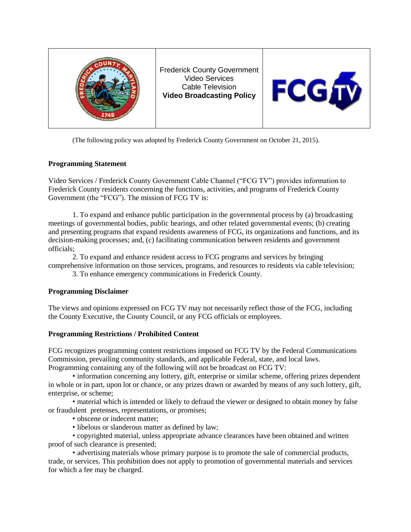

Frederick County Government Video Services Cable Television **Video Broadcasting Policy**



(The following policy was adopted by Frederick County Government on October 21, 2015).

## **Programming Statement**

Video Services / Frederick County Government Cable Channel ("FCG TV") provides information to Frederick County residents concerning the functions, activities, and programs of Frederick County Government (the "FCG"). The mission of FCG TV is:

1. To expand and enhance public participation in the governmental process by (a) broadcasting meetings of governmental bodies, public hearings, and other related governmental events; (b) creating and presenting programs that expand residents awareness of FCG, its organizations and functions, and its decision-making processes; and, (c) facilitating communication between residents and government officials;

2. To expand and enhance resident access to FCG programs and services by bringing comprehensive information on those services, programs, and resources to residents via cable television;

3. To enhance emergency communications in Frederick County.

# **Programming Disclaimer**

The views and opinions expressed on FCG TV may not necessarily reflect those of the FCG, including the County Executive, the County Council, or any FCG officials or employees.

### **Programming Restrictions / Prohibited Content**

FCG recognizes programming content restrictions imposed on FCG TV by the Federal Communications Commission, prevailing community standards, and applicable Federal, state, and local laws. Programming containing any of the following will not be broadcast on FCG TV:

• information concerning any lottery, gift, enterprise or similar scheme, offering prizes dependent in whole or in part, upon lot or chance, or any prizes drawn or awarded by means of any such lottery, gift, enterprise, or scheme;

• material which is intended or likely to defraud the viewer or designed to obtain money by false or fraudulent pretenses, representations, or promises;

- obscene or indecent matter;
- libelous or slanderous matter as defined by law;

• copyrighted material, unless appropriate advance clearances have been obtained and written proof of such clearance is presented;

• advertising materials whose primary purpose is to promote the sale of commercial products, trade, or services. This prohibition does not apply to promotion of governmental materials and services for which a fee may be charged.